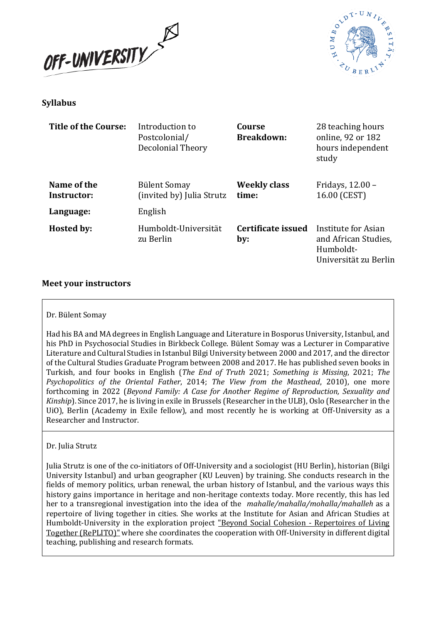



## **Syllabus**

| Title of the Course:       | Introduction to<br>Postcolonial/<br>Decolonial Theory | Course<br><b>Breakdown:</b>  | 28 teaching hours<br>online, 92 or 182<br>hours independent<br>study              |
|----------------------------|-------------------------------------------------------|------------------------------|-----------------------------------------------------------------------------------|
| Name of the<br>Instructor: | <b>Bülent Somay</b><br>(invited by) Julia Strutz      | <b>Weekly class</b><br>time: | Fridays, 12.00 -<br>16.00 (CEST)                                                  |
| Language:                  | English                                               |                              |                                                                                   |
| Hosted by:                 | Humboldt-Universität<br>zu Berlin                     | Certificate issued<br>by:    | Institute for Asian<br>and African Studies,<br>Humboldt-<br>Universität zu Berlin |

### **Meet your instructors**

#### Dr. Bülent Somay

Had his BA and MA degrees in English Language and Literature in Bosporus University, Istanbul, and his PhD in Psychosocial Studies in Birkbeck College. Bülent Somay was a Lecturer in Comparative Literature and Cultural Studies in Istanbul Bilgi University between 2000 and 2017, and the director of the Cultural Studies Graduate Program between 2008 and 2017. He has published seven books in Turkish, and four books in English (*The End of Truth* 2021; *Something is Missing*, 2021; *The Psychopolitics of the Oriental Father*, 2014; *The View from the Masthead*, 2010), one more forthcoming in 2022 (*Beyond Family: A Case for Another Regime of Reproduction, Sexuality and Kinship*). Since 2017, he is living in exile in Brussels (Researcher in the ULB), Oslo (Researcher in the UiO), Berlin (Academy in Exile fellow), and most recently he is working at Off-University as a Researcher and Instructor.

#### Dr. Julia Strutz

Julia Strutz is one of the co-initiators of Off-University and a sociologist (HU Berlin), historian (Bilgi University Istanbul) and urban geographer (KU Leuven) by training. She conducts research in the fields of memory politics, urban renewal, the urban history of Istanbul, and the various ways this history gains importance in heritage and non-heritage contexts today. More recently, this has led her to a transregional investigation into the idea of the *mahalle/mahalla/mohalla/mahalleh* as a repertoire of living together in cities. She works at the Institute for Asian and African Studies at Humboldt-University in the exploration project ["Beyond Social Cohesion -](https://www.iaaw.hu-berlin.de/de/querschnitt/medialitaet/forschung/projekte/aktuell/aktuell) Repertoires of Living [Together \(RePLITO\)"](https://www.iaaw.hu-berlin.de/de/querschnitt/medialitaet/forschung/projekte/aktuell/aktuell) where she coordinates the cooperation with Off-University in different digital teaching, publishing and research formats.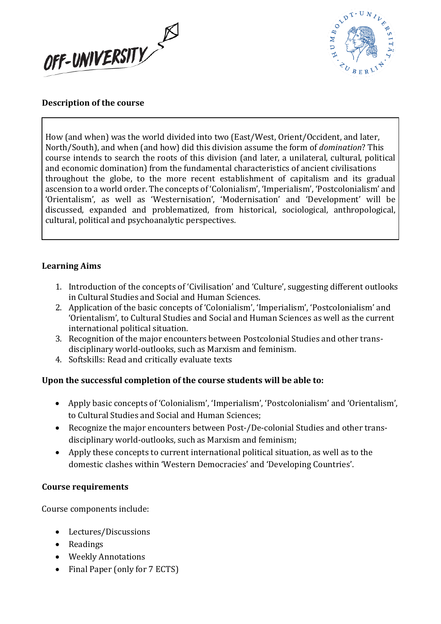



## **Description of the course**

How (and when) was the world divided into two (East/West, Orient/Occident, and later, North/South), and when (and how) did this division assume the form of *domination*? This course intends to search the roots of this division (and later, a unilateral, cultural, political and economic domination) from the fundamental characteristics of ancient civilisations throughout the globe, to the more recent establishment of capitalism and its gradual ascension to a world order. The concepts of 'Colonialism', 'Imperialism', 'Postcolonialism' and 'Orientalism', as well as 'Westernisation', 'Modernisation' and 'Development' will be discussed, expanded and problematized, from historical, sociological, anthropological, cultural, political and psychoanalytic perspectives.

### **Learning Aims**

- 1. Introduction of the concepts of 'Civilisation' and 'Culture', suggesting different outlooks in Cultural Studies and Social and Human Sciences.
- 2. Application of the basic concepts of 'Colonialism', 'Imperialism', 'Postcolonialism' and 'Orientalism', to Cultural Studies and Social and Human Sciences as well as the current international political situation.
- 3. Recognition of the major encounters between Postcolonial Studies and other transdisciplinary world-outlooks, such as Marxism and feminism.
- 4. Softskills: Read and critically evaluate texts

# **Upon the successful completion of the course students will be able to:**

- Apply basic concepts of 'Colonialism', 'Imperialism', 'Postcolonialism' and 'Orientalism', to Cultural Studies and Social and Human Sciences;
- Recognize the major encounters between Post-/De-colonial Studies and other transdisciplinary world-outlooks, such as Marxism and feminism;
- Apply these concepts to current international political situation, as well as to the domestic clashes within 'Western Democracies' and 'Developing Countries'.

### **Course requirements**

Course components include:

- Lectures/Discussions
- Readings
- Weekly Annotations
- Final Paper (only for 7 ECTS)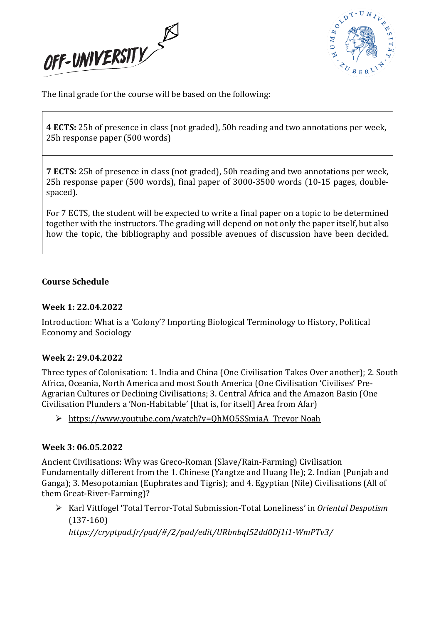



The final grade for the course will be based on the following:

**4 ECTS:** 25h of presence in class (not graded), 50h reading and two annotations per week, 25h response paper (500 words)

**7 ECTS:** 25h of presence in class (not graded), 50h reading and two annotations per week, 25h response paper (500 words), final paper of 3000-3500 words (10-15 pages, doublespaced).

For 7 ECTS, the student will be expected to write a final paper on a topic to be determined together with the instructors. The grading will depend on not only the paper itself, but also how the topic, the bibliography and possible avenues of discussion have been decided.

### **Course Schedule**

### **Week 1: 22.04.2022**

Introduction: What is a 'Colony'? Importing Biological Terminology to History, Political Economy and Sociology

### **Week 2: 29.04.2022**

Three types of Colonisation: 1. India and China (One Civilisation Takes Over another); 2. South Africa, Oceania, North America and most South America (One Civilisation 'Civilises' Pre-Agrarian Cultures or Declining Civilisations; 3. Central Africa and the Amazon Basin (One Civilisation Plunders a 'Non-Habitable' [that is, for itself] Area from Afar)

➢ <https://www.youtube.com/watch?v=QhMO5SSmiaA> Trevor Noah

### **Week 3: 06.05.2022**

Ancient Civilisations: Why was Greco-Roman (Slave/Rain-Farming) Civilisation Fundamentally different from the 1. Chinese (Yangtze and Huang He); 2. Indian (Punjab and Ganga); 3. Mesopotamian (Euphrates and Tigris); and 4. Egyptian (Nile) Civilisations (All of them Great-River-Farming)?

➢ Karl Vittfogel 'Total Terror-Total Submission-Total Loneliness' in *Oriental Despotism* (137-160)

*https://cryptpad.fr/pad/#/2/pad/edit/URbnbqI52dd0Dj1i1-WmPTv3/*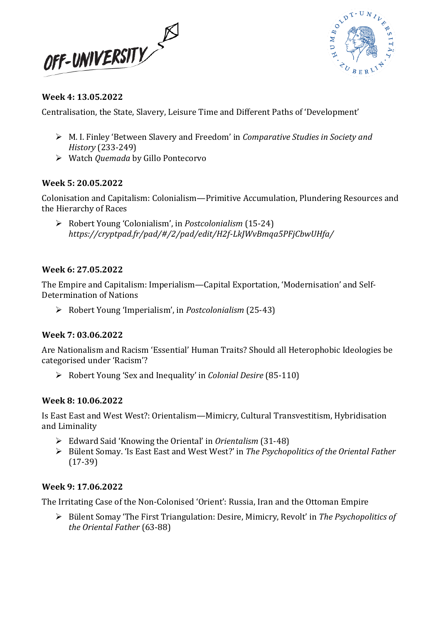



## **Week 4: 13.05.2022**

Centralisation, the State, Slavery, Leisure Time and Different Paths of 'Development'

- ➢ M. I. Finley 'Between Slavery and Freedom' in *Comparative Studies in Society and History* (233-249)
- ➢ Watch *Quemada* by Gillo Pontecorvo

### **Week 5: 20.05.2022**

Colonisation and Capitalism: Colonialism—Primitive Accumulation, Plundering Resources and the Hierarchy of Races

➢ Robert Young 'Colonialism', in *Postcolonialism* (15-24) *https://cryptpad.fr/pad/#/2/pad/edit/H2f-LkJWvBmqa5PFjCbwUHfa/*

### **Week 6: 27.05.2022**

The Empire and Capitalism: Imperialism—Capital Exportation, 'Modernisation' and Self-Determination of Nations

➢ Robert Young 'Imperialism', in *Postcolonialism* (25-43)

# **Week 7: 03.06.2022**

Are Nationalism and Racism 'Essential' Human Traits? Should all Heterophobic Ideologies be categorised under 'Racism'?

➢ Robert Young 'Sex and Inequality' in *Colonial Desire* (85-110)

# **Week 8: 10.06.2022**

Is East East and West West?: Orientalism—Mimicry, Cultural Transvestitism, Hybridisation and Liminality

- ➢ Edward Said 'Knowing the Oriental' in *Orientalism* (31-48)
- ➢ Bülent Somay. 'Is East East and West West?' in *The Psychopolitics of the Oriental Father* (17-39)

### **Week 9: 17.06.2022**

The Irritating Case of the Non-Colonised 'Orient': Russia, Iran and the Ottoman Empire

➢ Bülent Somay 'The First Triangulation: Desire, Mimicry, Revolt' in *The Psychopolitics of the Oriental Father* (63-88)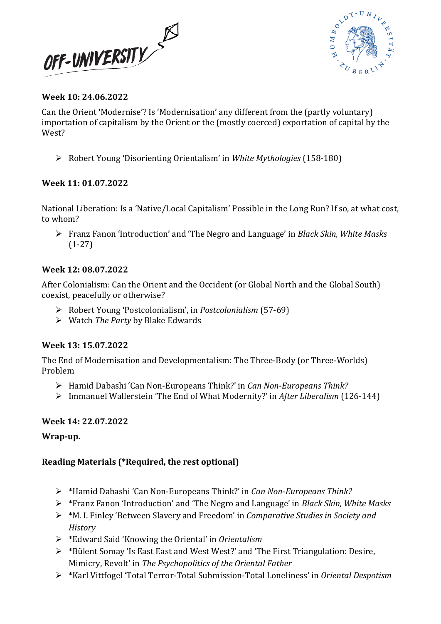



### **Week 10: 24.06.2022**

Can the Orient 'Modernise'? Is 'Modernisation' any different from the (partly voluntary) importation of capitalism by the Orient or the (mostly coerced) exportation of capital by the West?

➢ Robert Young 'Disorienting Orientalism' in *White Mythologies* (158-180)

### **Week 11: 01.07.2022**

National Liberation: Is a 'Native/Local Capitalism' Possible in the Long Run? If so, at what cost, to whom?

➢ Franz Fanon 'Introduction' and 'The Negro and Language' in *Black Skin, White Masks* (1-27)

### **Week 12: 08.07.2022**

After Colonialism: Can the Orient and the Occident (or Global North and the Global South) coexist, peacefully or otherwise?

- ➢ Robert Young 'Postcolonialism', in *Postcolonialism* (57-69)
- ➢ Watch *The Party* by Blake Edwards

### **Week 13: 15.07.2022**

The End of Modernisation and Developmentalism: The Three-Body (or Three-Worlds) Problem

- ➢ Hamid Dabashi 'Can Non-Europeans Think?' in *Can Non-Europeans Think?*
- ➢ Immanuel Wallerstein 'The End of What Modernity?' in *After Liberalism* (126-144)

### **Week 14: 22.07.2022**

### **Wrap-up.**

# **Reading Materials (\*Required, the rest optional)**

- ➢ \*Hamid Dabashi 'Can Non-Europeans Think?' in *Can Non-Europeans Think?*
- ➢ \*Franz Fanon 'Introduction' and 'The Negro and Language' in *Black Skin, White Masks*
- ➢ \*M. I. Finley 'Between Slavery and Freedom' in *Comparative Studies in Society and History*
- ➢ \*Edward Said 'Knowing the Oriental' in *Orientalism*
- $\triangleright$  \*Bülent Somay 'Is East East and West West?' and 'The First Triangulation: Desire, Mimicry, Revolt' in *The Psychopolitics of the Oriental Father*
- ➢ \*Karl Vittfogel 'Total Terror-Total Submission-Total Loneliness' in *Oriental Despotism*